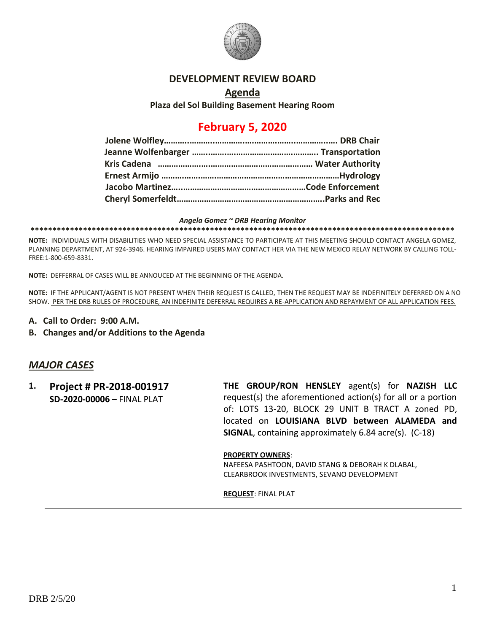

## **DEVELOPMENT REVIEW BOARD**

**Agenda**

**Plaza del Sol Building Basement Hearing Room**

# **February 5, 2020**

#### *Angela Gomez ~ DRB Hearing Monitor*

**\*\*\*\*\*\*\*\*\*\*\*\*\*\*\*\*\*\*\*\*\*\*\*\*\*\*\*\*\*\*\*\*\*\*\*\*\*\*\*\*\*\*\*\*\*\*\*\*\*\*\*\*\*\*\*\*\*\*\*\*\*\*\*\*\*\*\*\*\*\*\*\*\*\*\*\*\*\*\*\*\*\*\*\*\*\*\*\*\*\*\*\*\*\*\*\*\***

**NOTE:** INDIVIDUALS WITH DISABILITIES WHO NEED SPECIAL ASSISTANCE TO PARTICIPATE AT THIS MEETING SHOULD CONTACT ANGELA GOMEZ, PLANNING DEPARTMENT, AT 924-3946. HEARING IMPAIRED USERS MAY CONTACT HER VIA THE NEW MEXICO RELAY NETWORK BY CALLING TOLL-FREE:1-800-659-8331.

**NOTE:** DEFFERRAL OF CASES WILL BE ANNOUCED AT THE BEGINNING OF THE AGENDA.

**NOTE:** IF THE APPLICANT/AGENT IS NOT PRESENT WHEN THEIR REQUEST IS CALLED, THEN THE REQUEST MAY BE INDEFINITELY DEFERRED ON A NO SHOW. PER THE DRB RULES OF PROCEDURE, AN INDEFINITE DEFERRAL REQUIRES A RE-APPLICATION AND REPAYMENT OF ALL APPLICATION FEES.

- **A. Call to Order: 9:00 A.M.**
- **B. Changes and/or Additions to the Agenda**

## *MAJOR CASES*

**1. Project # PR-2018-001917 SD-2020-00006 –** FINAL PLAT

**THE GROUP/RON HENSLEY** agent(s) for **NAZISH LLC** request(s) the aforementioned action(s) for all or a portion of: LOTS 13-20, BLOCK 29 UNIT B TRACT A zoned PD, located on **LOUISIANA BLVD between ALAMEDA and SIGNAL**, containing approximately 6.84 acre(s). (C-18)

### **PROPERTY OWNERS**:

NAFEESA PASHTOON, DAVID STANG & DEBORAH K DLABAL, CLEARBROOK INVESTMENTS, SEVANO DEVELOPMENT

**REQUEST**: FINAL PLAT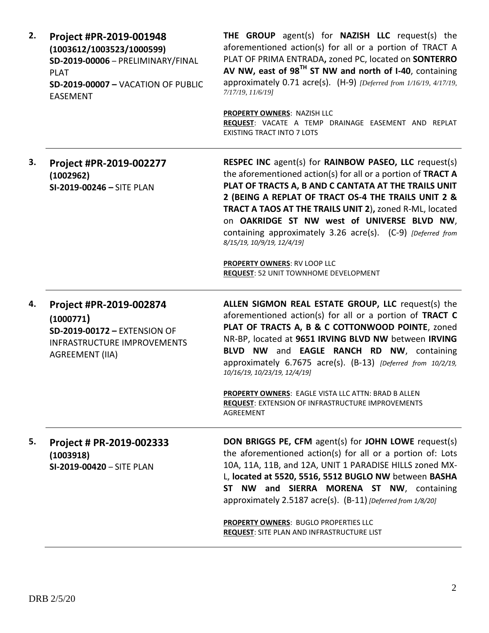| 2. | Project #PR-2019-001948<br>(1003612/1003523/1000599)<br>SD-2019-00006 - PRELIMINARY/FINAL<br><b>PLAT</b><br>SD-2019-00007 - VACATION OF PUBLIC<br><b>EASEMENT</b> | THE GROUP agent(s) for NAZISH LLC request(s) the<br>aforementioned action(s) for all or a portion of TRACT A<br>PLAT OF PRIMA ENTRADA, zoned PC, located on SONTERRO<br>AV NW, east of 98 <sup>TH</sup> ST NW and north of I-40, containing<br>approximately 0.71 acre(s). (H-9) [Deferred from 1/16/19, 4/17/19,<br>7/17/19, 11/6/19]                                                                                                                                                           |
|----|-------------------------------------------------------------------------------------------------------------------------------------------------------------------|--------------------------------------------------------------------------------------------------------------------------------------------------------------------------------------------------------------------------------------------------------------------------------------------------------------------------------------------------------------------------------------------------------------------------------------------------------------------------------------------------|
|    |                                                                                                                                                                   | <b>PROPERTY OWNERS: NAZISH LLC</b><br>REQUEST: VACATE A TEMP DRAINAGE EASEMENT AND REPLAT<br><b>EXISTING TRACT INTO 7 LOTS</b>                                                                                                                                                                                                                                                                                                                                                                   |
| 3. | Project #PR-2019-002277<br>(1002962)<br>SI-2019-00246 - SITE PLAN                                                                                                 | <b>RESPEC INC</b> agent(s) for <b>RAINBOW PASEO, LLC</b> request(s)<br>the aforementioned action(s) for all or a portion of TRACT A<br>PLAT OF TRACTS A, B AND C CANTATA AT THE TRAILS UNIT<br>2 (BEING A REPLAT OF TRACT OS-4 THE TRAILS UNIT 2 &<br>TRACT A TAOS AT THE TRAILS UNIT 2), zoned R-ML, located<br>on OAKRIDGE ST NW west of UNIVERSE BLVD NW,<br>containing approximately 3.26 acre(s). (C-9) [Deferred from<br>8/15/19, 10/9/19, 12/4/19]<br><b>PROPERTY OWNERS: RV LOOP LLC</b> |
|    |                                                                                                                                                                   | <b>REQUEST: 52 UNIT TOWNHOME DEVELOPMENT</b>                                                                                                                                                                                                                                                                                                                                                                                                                                                     |
| 4. | Project #PR-2019-002874<br>(1000771)<br>SD-2019-00172 - EXTENSION OF<br><b>INFRASTRUCTURE IMPROVEMENTS</b><br><b>AGREEMENT (IIA)</b>                              | ALLEN SIGMON REAL ESTATE GROUP, LLC request(s) the<br>aforementioned action(s) for all or a portion of TRACT C<br>PLAT OF TRACTS A, B & C COTTONWOOD POINTE, zoned<br>NR-BP, located at 9651 IRVING BLVD NW between IRVING<br>BLVD NW and EAGLE RANCH RD NW, containing<br>approximately 6.7675 acre(s). (B-13) [Deferred from 10/2/19,<br>10/16/19, 10/23/19, 12/4/19]                                                                                                                          |
|    |                                                                                                                                                                   | PROPERTY OWNERS: EAGLE VISTA LLC ATTN: BRAD B ALLEN<br><b>REQUEST: EXTENSION OF INFRASTRUCTURE IMPROVEMENTS</b><br>AGREEMENT                                                                                                                                                                                                                                                                                                                                                                     |
| 5. | Project # PR-2019-002333<br>(1003918)<br>SI-2019-00420 - SITE PLAN                                                                                                | DON BRIGGS PE, CFM agent(s) for JOHN LOWE request(s)<br>the aforementioned action(s) for all or a portion of: Lots<br>10A, 11A, 11B, and 12A, UNIT 1 PARADISE HILLS zoned MX-<br>L, located at 5520, 5516, 5512 BUGLO NW between BASHA<br>ST NW and SIERRA MORENA ST NW, containing<br>approximately 2.5187 acre(s). (B-11) [Deferred from 1/8/20]<br>PROPERTY OWNERS: BUGLO PROPERTIES LLC<br><b>REQUEST: SITE PLAN AND INFRASTRUCTURE LIST</b>                                                 |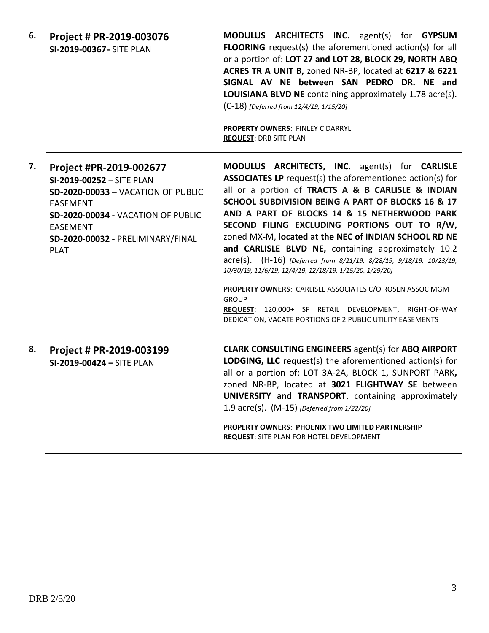**6. Project # PR-2019-003076 SI-2019-00367-** SITE PLAN

**MODULUS ARCHITECTS INC.** agent(s) for **GYPSUM FLOORING** request(s) the aforementioned action(s) for all or a portion of: **LOT 27 and LOT 28, BLOCK 29, NORTH ABQ ACRES TR A UNIT B,** zoned NR-BP, located at **6217 & 6221 SIGNAL AV NE between SAN PEDRO DR. NE and LOUISIANA BLVD NE** containing approximately 1.78 acre(s). (C-18) *[Deferred from 12/4/19, 1/15/20]*

**PROPERTY OWNERS**: FINLEY C DARRYL **REQUEST**: DRB SITE PLAN

| 7. | Project #PR-2019-002677<br>SI-2019-00252 - SITE PLAN<br><b>SD-2020-00033 - VACATION OF PUBLIC</b><br><b>EASEMENT</b><br>SD-2020-00034 - VACATION OF PUBLIC<br><b>EASEMENT</b><br>SD-2020-00032 - PRELIMINARY/FINAL<br><b>PLAT</b> | MODULUS ARCHITECTS, INC. agent(s) for CARLISLE<br><b>ASSOCIATES LP</b> request(s) the aforementioned action(s) for<br>all or a portion of TRACTS A & B CARLISLE & INDIAN<br>SCHOOL SUBDIVISION BEING A PART OF BLOCKS 16 & 17<br>AND A PART OF BLOCKS 14 & 15 NETHERWOOD PARK<br>SECOND FILING EXCLUDING PORTIONS OUT TO R/W,<br>zoned MX-M, located at the NEC of INDIAN SCHOOL RD NE<br>and CARLISLE BLVD NE, containing approximately 10.2<br>acre(s). (H-16) [Deferred from 8/21/19, 8/28/19, 9/18/19, 10/23/19,<br>10/30/19, 11/6/19, 12/4/19, 12/18/19, 1/15/20, 1/29/20] |
|----|-----------------------------------------------------------------------------------------------------------------------------------------------------------------------------------------------------------------------------------|---------------------------------------------------------------------------------------------------------------------------------------------------------------------------------------------------------------------------------------------------------------------------------------------------------------------------------------------------------------------------------------------------------------------------------------------------------------------------------------------------------------------------------------------------------------------------------|
|    |                                                                                                                                                                                                                                   | <b>PROPERTY OWNERS: CARLISLE ASSOCIATES C/O ROSEN ASSOC MGMT</b><br><b>GROUP</b><br>REQUEST: 120,000+ SF RETAIL DEVELOPMENT, RIGHT-OF-WAY<br>DEDICATION, VACATE PORTIONS OF 2 PUBLIC UTILITY EASEMENTS                                                                                                                                                                                                                                                                                                                                                                          |
| 8. | Project # PR-2019-003199<br>SI-2019-00424 - SITE PLAN                                                                                                                                                                             | <b>CLARK CONSULTING ENGINEERS agent(s) for ABQ AIRPORT</b><br><b>LODGING, LLC</b> request(s) the aforementioned action(s) for<br>all or a portion of: LOT 3A-2A, BLOCK 1, SUNPORT PARK,<br>zoned NR-BP, located at 3021 FLIGHTWAY SE between<br>UNIVERSITY and TRANSPORT, containing approximately<br>1.9 acre(s). (M-15) [Deferred from 1/22/20]                                                                                                                                                                                                                               |
|    |                                                                                                                                                                                                                                   | DRODERTY OWNERS: DHOENIY TWO LIMITED DARTNERSHID                                                                                                                                                                                                                                                                                                                                                                                                                                                                                                                                |

**PROPERTY OWNERS**: **PHOENIX TWO LIMITED PARTNERSHIP REQUEST**: SITE PLAN FOR HOTEL DEVELOPMENT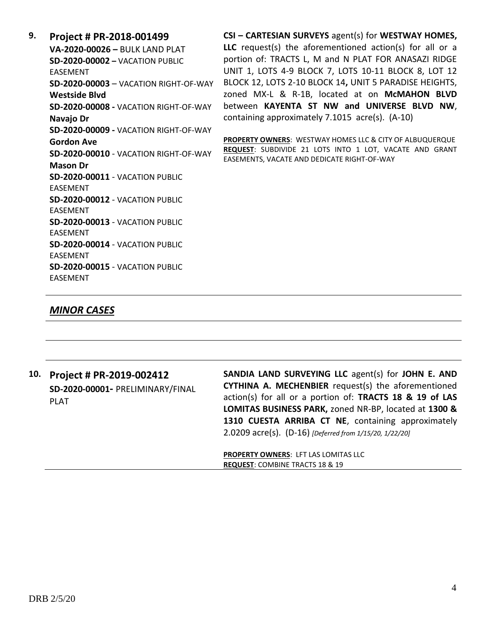**9. Project # PR-2018-001499 VA-2020-00026 –** BULK LAND PLAT **SD-2020-00002 –** VACATION PUBLIC EASEMENT **SD-2020-00003** – VACATION RIGHT-OF-WAY **Westside Blvd SD-2020-00008 -** VACATION RIGHT-OF-WAY **Navajo Dr SD-2020-00009 -** VACATION RIGHT-OF-WAY **Gordon Ave SD-2020-00010** - VACATION RIGHT-OF-WAY **Mason Dr SD-2020-00011** - VACATION PUBLIC EASEMENT **SD-2020-00012** - VACATION PUBLIC EASEMENT **SD-2020-00013** - VACATION PUBLIC EASEMENT **SD-2020-00014** - VACATION PUBLIC EASEMENT **SD-2020-00015** - VACATION PUBLIC EASEMENT

**CSI – CARTESIAN SURVEYS** agent(s) for **WESTWAY HOMES, LLC** request(s) the aforementioned action(s) for all or a portion of: TRACTS L, M and N PLAT FOR ANASAZI RIDGE UNIT 1, LOTS 4-9 BLOCK 7, LOTS 10-11 BLOCK 8, LOT 12 BLOCK 12, LOTS 2-10 BLOCK 14**,** UNIT 5 PARADISE HEIGHTS, zoned MX-L & R-1B, located at on **McMAHON BLVD** between **KAYENTA ST NW and UNIVERSE BLVD NW**, containing approximately 7.1015 acre(s). (A-10)

**PROPERTY OWNERS**: WESTWAY HOMES LLC & CITY OF ALBUQUERQUE **REQUEST**: SUBDIVIDE 21 LOTS INTO 1 LOT, VACATE AND GRANT EASEMENTS, VACATE AND DEDICATE RIGHT-OF-WAY

### *MINOR CASES*

| 10. | Project # PR-2019-002412<br>SD-2020-00001- PRELIMINARY/FINAL<br><b>PLAT</b> | SANDIA LAND SURVEYING LLC agent(s) for JOHN E. AND<br>CYTHINA A. MECHENBIER request(s) the aforementioned<br>action(s) for all or a portion of: TRACTS 18 & 19 of LAS<br>LOMITAS BUSINESS PARK, zoned NR-BP, located at 1300 &<br>1310 CUESTA ARRIBA CT NE, containing approximately<br>2.0209 acre(s). (D-16) [Deferred from 1/15/20, 1/22/20] |
|-----|-----------------------------------------------------------------------------|-------------------------------------------------------------------------------------------------------------------------------------------------------------------------------------------------------------------------------------------------------------------------------------------------------------------------------------------------|
|     |                                                                             | <b>PROPERTY OWNERS: LFT LAS LOMITAS LLC</b><br><b>REQUEST: COMBINE TRACTS 18 &amp; 19</b>                                                                                                                                                                                                                                                       |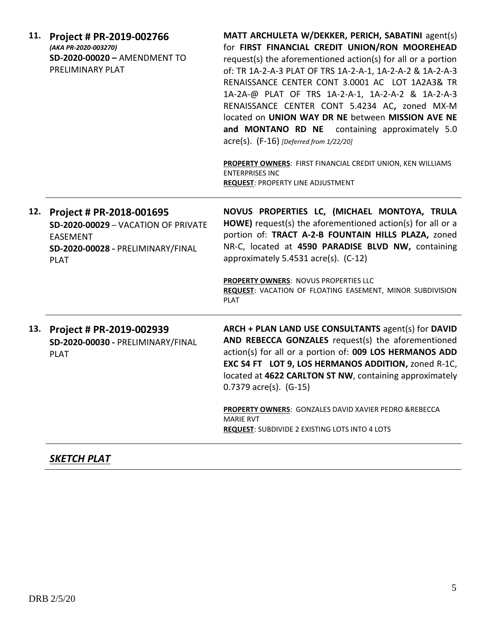| 11. | Project # PR-2019-002766<br>(AKA PR-2020-003270)<br>SD-2020-00020 - AMENDMENT TO<br>PRELIMINARY PLAT                                   | MATT ARCHULETA W/DEKKER, PERICH, SABATINI agent(s)<br>for FIRST FINANCIAL CREDIT UNION/RON MOOREHEAD<br>request(s) the aforementioned action(s) for all or a portion<br>of: TR 1A-2-A-3 PLAT OF TRS 1A-2-A-1, 1A-2-A-2 & 1A-2-A-3<br>RENAISSANCE CENTER CONT 3.0001 AC LOT 1A2A3& TR<br>1A-2A-@ PLAT OF TRS 1A-2-A-1, 1A-2-A-2 & 1A-2-A-3<br>RENAISSANCE CENTER CONT 5.4234 AC, zoned MX-M<br>located on UNION WAY DR NE between MISSION AVE NE<br>and MONTANO RD NE containing approximately 5.0<br>$\text{acre}(s)$ . (F-16) [Deferred from 1/22/20]<br>PROPERTY OWNERS: FIRST FINANCIAL CREDIT UNION, KEN WILLIAMS<br><b>ENTERPRISES INC</b><br><b>REQUEST: PROPERTY LINE ADJUSTMENT</b> |
|-----|----------------------------------------------------------------------------------------------------------------------------------------|---------------------------------------------------------------------------------------------------------------------------------------------------------------------------------------------------------------------------------------------------------------------------------------------------------------------------------------------------------------------------------------------------------------------------------------------------------------------------------------------------------------------------------------------------------------------------------------------------------------------------------------------------------------------------------------------|
| 12. | Project # PR-2018-001695<br>SD-2020-00029 - VACATION OF PRIVATE<br><b>EASEMENT</b><br>SD-2020-00028 - PRELIMINARY/FINAL<br><b>PLAT</b> | NOVUS PROPERTIES LC, (MICHAEL MONTOYA, TRULA<br>HOWE) request(s) the aforementioned action(s) for all or a<br>portion of: TRACT A-2-B FOUNTAIN HILLS PLAZA, zoned<br>NR-C, located at 4590 PARADISE BLVD NW, containing<br>approximately 5.4531 acre(s). (C-12)<br>PROPERTY OWNERS: NOVUS PROPERTIES LLC<br>REQUEST: VACATION OF FLOATING EASEMENT, MINOR SUBDIVISION<br><b>PLAT</b>                                                                                                                                                                                                                                                                                                        |
|     | 13. Project # PR-2019-002939<br>SD-2020-00030 - PRELIMINARY/FINAL<br><b>PLAT</b>                                                       | ARCH + PLAN LAND USE CONSULTANTS agent(s) for DAVID<br>AND REBECCA GONZALES request(s) the aforementioned<br>action(s) for all or a portion of: 009 LOS HERMANOS ADD<br>EXC S4 FT LOT 9, LOS HERMANOS ADDITION, zoned R-1C,<br>located at 4622 CARLTON ST NW, containing approximately<br>$0.7379$ acre(s). (G-15)<br>PROPERTY OWNERS: GONZALES DAVID XAVIER PEDRO &REBECCA<br><b>MARIE RVT</b><br><b>REQUEST:</b> SUBDIVIDE 2 EXISTING LOTS INTO 4 LOTS                                                                                                                                                                                                                                    |

## *SKETCH PLAT*